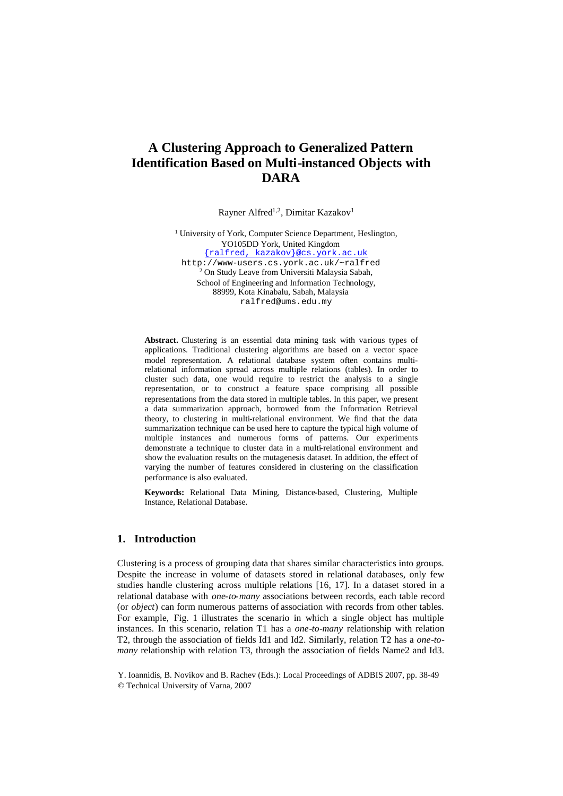# **A Clustering Approach to Generalized Pattern Identification Based on Multi-instanced Objects with DARA**

Rayner Alfred<sup>1,2</sup>, Dimitar Kazakov<sup>1</sup>

<sup>1</sup> University of York, Computer Science Department, Heslington, YO105DD York, United Kingdom {ralfred, kazakov}@cs.york.ac.uk http://www-users.cs.york.ac.uk/~ralfred <sup>2</sup> On Study Leave from Universiti Malaysia Sabah, School of Engineering and Information Technology, 88999, Kota Kinabalu, Sabah, Malaysia

ralfred@ums.edu.my

**Abstract.** Clustering is an essential data mining task with various types of applications. Traditional clustering algorithms are based on a vector space model representation. A relational database system often contains multirelational information spread across multiple relations (tables). In order to cluster such data, one would require to restrict the analysis to a single representation, or to construct a feature space comprising all possible representations from the data stored in multiple tables. In this paper, we present a data summarization approach, borrowed from the Information Retrieval theory, to clustering in multi-relational environment. We find that the data summarization technique can be used here to capture the typical high volume of multiple instances and numerous forms of patterns. Our experiments demonstrate a technique to cluster data in a multi-relational environment and show the evaluation results on the mutagenesis dataset. In addition, the effect of varying the number of features considered in clustering on the classification performance is also evaluated.

**Keywords:** Relational Data Mining, Distance-based, Clustering, Multiple Instance, Relational Database.

# **1. Introduction**

Clustering is a process of grouping data that shares similar characteristics into groups. Despite the increase in volume of datasets stored in relational databases, only few studies handle clustering across multiple relations [16, 17]. In a dataset stored in a relational database with *one-to-many* associations between records, each table record (or *object*) can form numerous patterns of association with records from other tables. For example, Fig. 1 illustrates the scenario in which a single object has multiple instances. In this scenario, relation T1 has a *one-to-many* relationship with relation T2, through the association of fields Id1 and Id2. Similarly, relation T2 has a *one-tomany* relationship with relation T3, through the association of fields Name2 and Id3.

Y. Ioannidis, B. Novikov and B. Rachev (Eds.): Local Proceedings of ADBIS 2007, pp. 38-49 © Technical University of Varna, 2007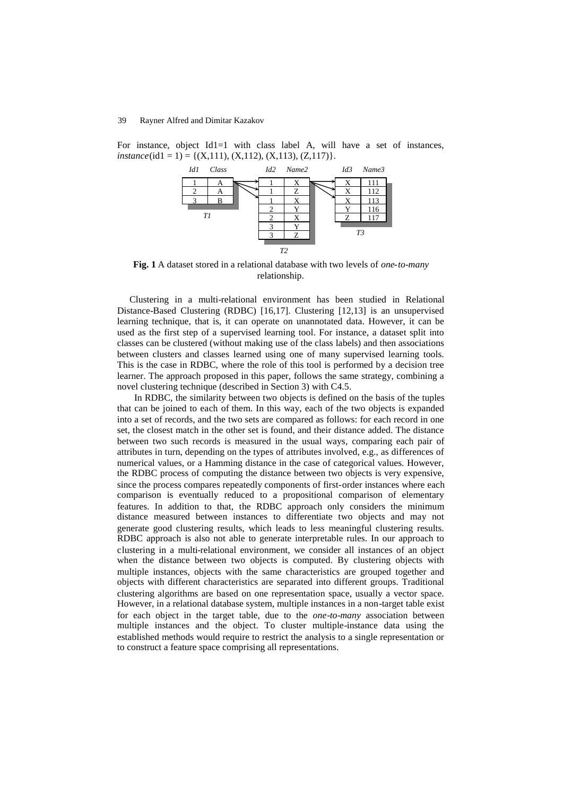For instance, object Id1=1 with class label A, will have a set of instances,  $instance(id1 = 1) = \{(X, 111), (X, 112), (X, 113), (Z, 117)\}.$ 



**Fig. 1** A dataset stored in a relational database with two levels of *one-to-many* relationship.

Clustering in a multi-relational environment has been studied in Relational Distance-Based Clustering (RDBC) [16,17]. Clustering [12,13] is an unsupervised learning technique, that is, it can operate on unannotated data. However, it can be used as the first step of a supervised learning tool. For instance, a dataset split into classes can be clustered (without making use of the class labels) and then associations between clusters and classes learned using one of many supervised learning tools. This is the case in RDBC, where the role of this tool is performed by a decision tree learner. The approach proposed in this paper, follows the same strategy, combining a novel clustering technique (described in Section 3) with C4.5.

In RDBC, the similarity between two objects is defined on the basis of the tuples that can be joined to each of them. In this way, each of the two objects is expanded into a set of records, and the two sets are compared as follows: for each record in one set, the closest match in the other set is found, and their distance added. The distance between two such records is measured in the usual ways, comparing each pair of attributes in turn, depending on the types of attributes involved, e.g., as differences of numerical values, or a Hamming distance in the case of categorical values. However, the RDBC process of computing the distance between two objects is very expensive, since the process compares repeatedly components of first-order instances where each comparison is eventually reduced to a propositional comparison of elementary features. In addition to that, the RDBC approach only considers the minimum distance measured between instances to differentiate two objects and may not generate good clustering results, which leads to less meaningful clustering results. RDBC approach is also not able to generate interpretable rules. In our approach to clustering in a multi-relational environment, we consider all instances of an object when the distance between two objects is computed. By clustering objects with multiple instances, objects with the same characteristics are grouped together and objects with different characteristics are separated into different groups. Traditional clustering algorithms are based on one representation space, usually a vector space. However, in a relational database system, multiple instances in a non-target table exist for each object in the target table, due to the *one-to-many* association between multiple instances and the object. To cluster multiple-instance data using the established methods would require to restrict the analysis to a single representation or to construct a feature space comprising all representations.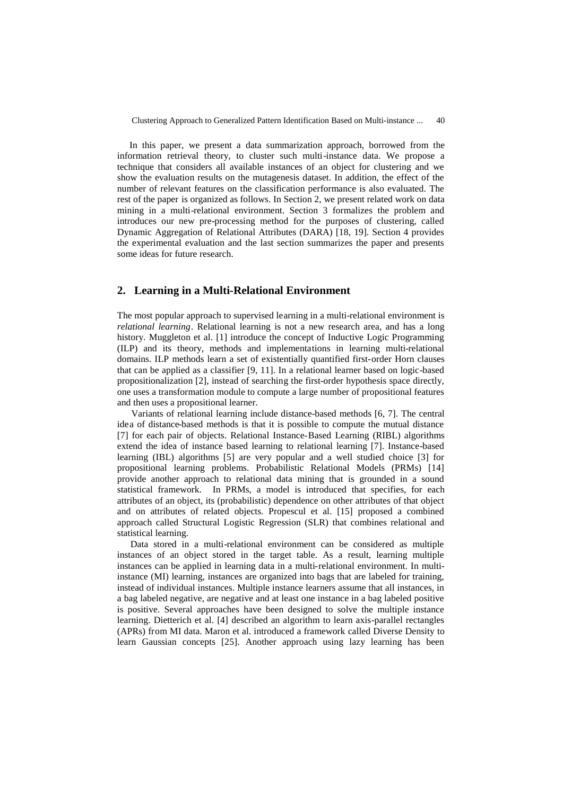In this paper, we present a data summarization approach, borrowed from the information retrieval theory, to cluster such multi-instance data. We propose a technique that considers all available instances of an object for clustering and we show the evaluation results on the mutagenesis dataset. In addition, the effect of the number of relevant features on the classification performance is also evaluated. The rest of the paper is organized as follows. In Section 2, we present related work on data mining in a multi-relational environment. Section 3 formalizes the problem and introduces our new pre-processing method for the purposes of clustering, called Dynamic Aggregation of Relational Attributes (DARA) [18, 19]. Section 4 provides the experimental evaluation and the last section summarizes the paper and presents some ideas for future research.

# **2. Learning in a Multi-Relational Environment**

The most popular approach to supervised learning in a multi-relational environment is *relational learning*. Relational learning is not a new research area, and has a long history. Muggleton et al. [1] introduce the concept of Inductive Logic Programming (ILP) and its theory, methods and implementations in learning multi-relational domains. ILP methods learn a set of existentially quantified first-order Horn clauses that can be applied as a classifier [9, 11]. In a relational learner based on logic-based propositionalization [2], instead of searching the first-order hypothesis space directly, one uses a transformation module to compute a large number of propositional features and then uses a propositional learner.

Variants of relational learning include distance-based methods [6, 7]. The central idea of distance-based methods is that it is possible to compute the mutual distance [7] for each pair of objects. Relational Instance-Based Learning (RIBL) algorithms extend the idea of instance based learning to relational learning [7]. Instance-based learning (IBL) algorithms [5] are very popular and a well studied choice [3] for propositional learning problems. Probabilistic Relational Models (PRMs) [14] provide another approach to relational data mining that is grounded in a sound statistical framework. In PRMs, a model is introduced that specifies, for each attributes of an object, its (probabilistic) dependence on other attributes of that object and on attributes of related objects. Propescul et al. [15] proposed a combined approach called Structural Logistic Regression (SLR) that combines relational and statistical learning.

Data stored in a multi-relational environment can be considered as multiple instances of an object stored in the target table. As a result, learning multiple instances can be applied in learning data in a multi-relational environment. In multiinstance (MI) learning, instances are organized into bags that are labeled for training, instead of individual instances. Multiple instance learners assume that all instances, in a bag labeled negative, are negative and at least one instance in a bag labeled positive is positive. Several approaches have been designed to solve the multiple instance learning. Dietterich et al. [4] described an algorithm to learn axis-parallel rectangles (APRs) from MI data. Maron et al. introduced a framework called Diverse Density to learn Gaussian concepts [25]. Another approach using lazy learning has been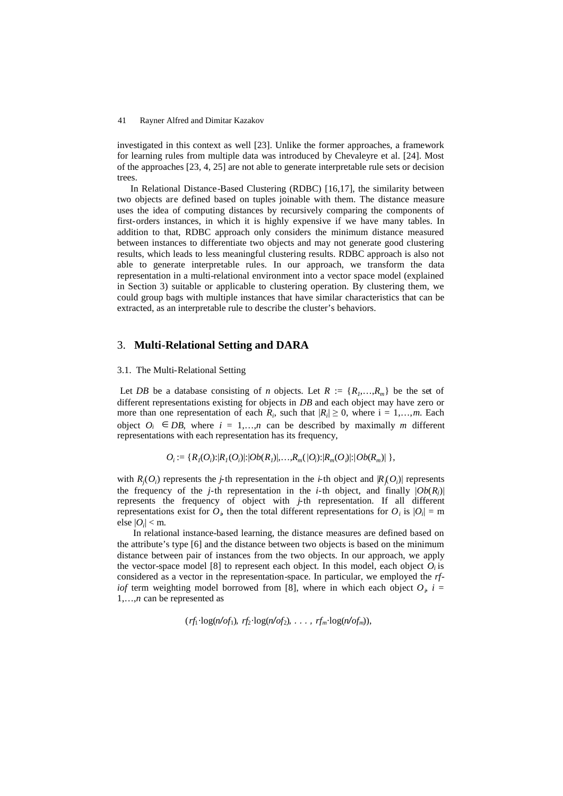investigated in this context as well [23]. Unlike the former approaches, a framework for learning rules from multiple data was introduced by Chevaleyre et al. [24]. Most of the approaches [23, 4, 25] are not able to generate interpretable rule sets or decision trees.

In Relational Distance-Based Clustering (RDBC) [16,17], the similarity between two objects are defined based on tuples joinable with them. The distance measure uses the idea of computing distances by recursively comparing the components of first-orders instances, in which it is highly expensive if we have many tables. In addition to that, RDBC approach only considers the minimum distance measured between instances to differentiate two objects and may not generate good clustering results, which leads to less meaningful clustering results. RDBC approach is also not able to generate interpretable rules. In our approach, we transform the data representation in a multi-relational environment into a vector space model (explained in Section 3) suitable or applicable to clustering operation. By clustering them, we could group bags with multiple instances that have similar characteristics that can be extracted, as an interpretable rule to describe the cluster's behaviors.

### 3. **Multi-Relational Setting and DARA**

#### 3.1. The Multi-Relational Setting

Let *DB* be a database consisting of *n* objects. Let  $R := \{R_1, \ldots, R_m\}$  be the set of different representations existing for objects in *DB* and each object may have zero or more than one representation of each  $R_i$ , such that  $|R_i| \geq 0$ , where  $i = 1,...,m$ . Each object  $O_i \n\in DB$ , where  $i = 1,...,n$  can be described by maximally *m* different representations with each representation has its frequency,

 $O_i := \{R_i(O_i): |R_i(O_i)|: |Ob(R_i)|, ..., R_m(O_i): |R_m(O_i)|: |Ob(R_m)|\}$ ,

with  $R_j$ ( $O_i$ ) represents the *j*-th representation in the *i*-th object and  $|R_j$ ( $O_i$ ) represents the frequency of the *j*-th representation in the *i*-th object, and finally  $|Ob(R_i)|$ represents the frequency of object with *j-*th representation. If all different representations exist for  $O_i$ , then the total different representations for  $O_i$  is  $|O_i| = m$ else  $|O_i|$  < m.

In relational instance-based learning, the distance measures are defined based on the attribute's type [6] and the distance between two objects is based on the minimum distance between pair of instances from the two objects. In our approach, we apply the vector-space model [8] to represent each object. In this model, each object  $O_i$  is considered as a vector in the representation-space. In particular, we employed the *rfiof* term weighting model borrowed from [8], where in which each object  $O_i$ ,  $i =$ 1,…,*n* can be represented as

 $(rf_1 \cdot \log(n/\sigma f_1), rf_2 \cdot \log(n/\sigma f_2), \ldots, rf_m \cdot \log(n/\sigma f_m)),$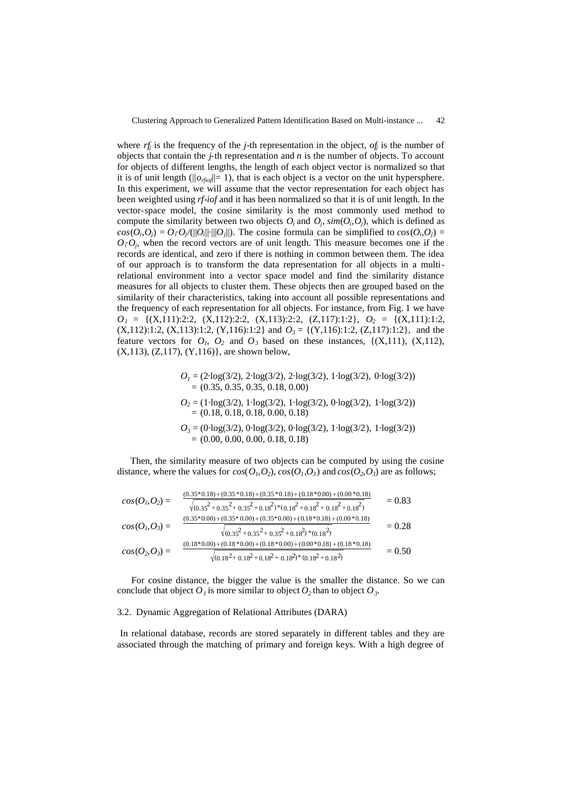where  $rf_i$  is the frequency of the *j*-th representation in the object,  $of_i$  is the number of objects that contain the *j-*th representation and *n* is the number of objects. To account for objects of different lengths, the length of each object vector is normalized so that it is of unit length ( $||o_{rfio}||= 1$ ), that is each object is a vector on the unit hypersphere. In this experiment, we will assume that the vector representation for each object has been weighted using *rf-iof* and it has been normalized so that it is of unit length. In the vector-space model, the cosine similarity is the most commonly used method to compute the similarity between two objects  $O_i$  and  $O_j$ ,  $\text{sim}(O_i, O_j)$ , which is defined as  $cos(O_i, O_j) = O_i O_j/(||O_i|| \cdot ||O_j||)$ . The cosine formula can be simplified to  $cos(O_i, O_j) =$  $O_i O_j$ , when the record vectors are of unit length. This measure becomes one if the records are identical, and zero if there is nothing in common between them. The idea of our approach is to transform the data representation for all objects in a multirelational environment into a vector space model and find the similarity distance measures for all objects to cluster them. These objects then are grouped based on the similarity of their characteristics, taking into account all possible representations and the frequency of each representation for all objects. For instance, from Fig. 1 we have *O<sup>1</sup>* = {(X,111):2:2, (X,112):2:2, (X,113):2:2, (Z,117):1:2}, *O<sup>2</sup>* = {(X,111):1:2,  $(X, 112):1:2, (X, 113):1:2, (Y, 116):1:2$  and  $O_3 = \{(Y, 116):1:2, (Z, 117):1:2\}$ , and the feature vectors for  $O<sub>1</sub>$ ,  $O<sub>2</sub>$  and  $O<sub>3</sub>$  based on these instances, {(X,111), (X,112), (X,113), (Z,117), (Y,116)}, are shown below,

$$
O_1 = (2 \cdot \log(3/2), 2 \cdot \log(3/2), 2 \cdot \log(3/2), 1 \cdot \log(3/2), 0 \cdot \log(3/2))
$$
  
= (0.35, 0.35, 0.35, 0.18, 0.00)  

$$
O_2 = (1 \cdot \log(3/2), 1 \cdot \log(3/2), 1 \cdot \log(3/2), 0 \cdot \log(3/2), 1 \cdot \log(3/2))
$$
  
= (0.18, 0.18, 0.18, 0.00, 0.18)  

$$
O_3 = (0 \cdot \log(3/2), 0 \cdot \log(3/2), 0 \cdot \log(3/2), 1 \cdot \log(3/2), 1 \cdot \log(3/2))
$$
  
= (0.00, 0.00, 0.00, 0.18, 0.18)

Then, the similarity measure of two objects can be computed by using the cosine distance, where the values for  $cos(O_1, O_2)$ ,  $cos(O_1, O_3)$  and  $cos(O_2, O_3)$  are as follows;

$$
cos(O1, O2) = \frac{(0.35 * 0.18) + (0.35 * 0.18) + (0.35 * 0.18) + (0.18 * 0.00) + (0.00 * 0.18)}{\sqrt{(0.35^2 + 0.35^2 + 0.35^2 + 0.18^2)^* (0.18^2 + 0.18^2 + 0.18^2 + 0.18^2)}}
$$
  
\n
$$
cos(O1, O3) = \frac{(0.35 * 0.00) + (0.35 * 0.00) + (0.35 * 0.00) + (0.18 * 0.18) + (0.00 * 0.18)}{\sqrt{(0.35^2 + 0.35^2 + 0.35^2 + 0.18^2)^* (0.18^2)}}
$$
  
\n
$$
cos(O2, O3) = \frac{(0.18 * 0.00) + (0.18 * 0.00) + (0.18 * 0.00) + (0.00 * 0.18) + (0.18 * 0.18)}{\sqrt{(0.18^2 + 0.18^2 + 0.18^2 + 0.18^2 + 0.18^2 + 0.18^2)^* (0.18^2 + 0.18^2)}}
$$
  
\n= 0.50

For cosine distance, the bigger the value is the smaller the distance. So we can conclude that object  $O<sub>I</sub>$  is more similar to object  $O<sub>2</sub>$  than to object  $O<sub>3</sub>$ .

#### 3.2. Dynamic Aggregation of Relational Attributes (DARA)

In relational database, records are stored separately in different tables and they are associated through the matching of primary and foreign keys. With a high degree of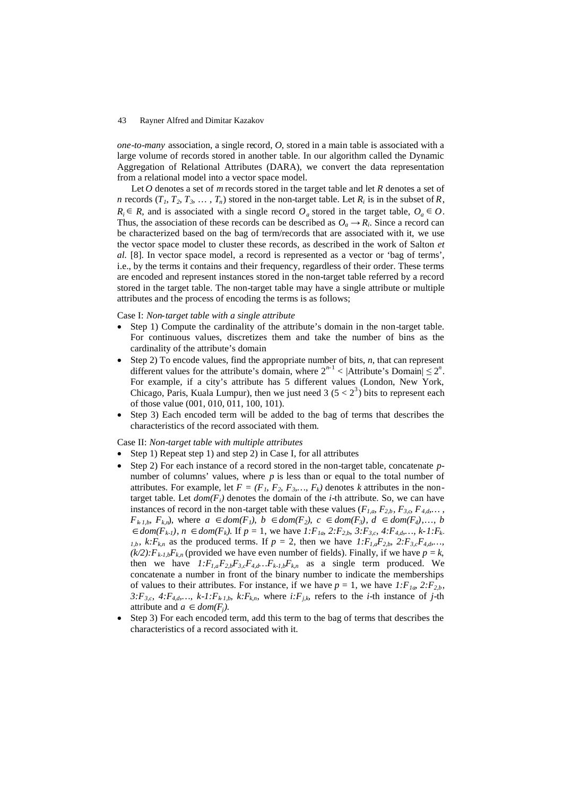*one-to-many* association, a single record, *O*, stored in a main table is associated with a large volume of records stored in another table. In our algorithm called the Dynamic Aggregation of Relational Attributes (DARA), we convert the data representation from a relational model into a vector space model.

Let *O* denotes a set of *m* records stored in the target table and let *R* denotes a set of *n* records  $(T_1, T_2, T_3, \ldots, T_n)$  stored in the non-target table. Let  $R_i$  is in the subset of  $R$ ,  $R_i \in R$ , and is associated with a single record  $O_a$  stored in the target table,  $O_a \in O$ . Thus, the association of these records can be described as  $O_a \rightarrow R_i$ . Since a record can be characterized based on the bag of term/records that are associated with it, we use the vector space model to cluster these records, as described in the work of Salton *et al.* [8]. In vector space model, a record is represented as a vector or 'bag of terms', i.e., by the terms it contains and their frequency, regardless of their order. These terms are encoded and represent instances stored in the non-target table referred by a record stored in the target table. The non-target table may have a single attribute or multiple attributes and the process of encoding the terms is as follows;

#### Case I: *Non-target table with a single attribute*

- Step 1) Compute the cardinality of the attribute's domain in the non-target table. For continuous values, discretizes them and take the number of bins as the cardinality of the attribute's domain
- Step 2) To encode values, find the appropriate number of bits, *n*, that can represent different values for the attribute's domain, where  $2^{n-1} < |$ Attribute's Domain $| \leq 2^n$ . For example, if a city's attribute has 5 different values (London, New York, Chicago, Paris, Kuala Lumpur), then we just need 3 ( $5 < 2<sup>3</sup>$ ) bits to represent each of those value (001, 010, 011, 100, 101).
- Step 3) Each encoded term will be added to the bag of terms that describes the characteristics of the record associated with them.

#### Case II: *Non-target table with multiple attributes*

- Step 1) Repeat step 1) and step 2) in Case I, for all attributes
- Step 2) For each instance of a record stored in the non-target table, concatenate *p*number of columns' values, where *p* is less than or equal to the total number of attributes. For example, let  $F = (F_1, F_2, F_3, \ldots, F_k)$  denotes *k* attributes in the nontarget table. Let  $dom(F_i)$  denotes the domain of the *i*-th attribute. So, we can have instances of record in the non-target table with these values ( $F_{1,a}$ ,  $F_{2,b}$ ,  $F_{3,a}$ ,  $F_{4,d}$ ,...,  $F_{k,l,b}, F_{k,n}$ , where  $a \in dom(F_l), b \in dom(F_2), c \in dom(F_3), d \in dom(F_4),..., b$  $d \text{ dom}(F_{k-1}), n \in \text{dom}(F_k)$ . If  $p = 1$ , we have  $1: F_{1a}$ ,  $2: F_{2,b}$ ,  $3: F_{3,c}$ ,  $4: F_{4,d}, \ldots, k-1: F_{k-1}$ *1,b,*  $k: F_{k,n}$  as the produced terms. If  $p = 2$ , then we have  $1: F_{1,a}F_{2,b}$ ,  $2: F_{3,c}F_{4,d}$ ,...  $(k/2):F_{k-1,b}F_{k,n}$  (provided we have even number of fields). Finally, if we have  $p = k$ , then we have  $1: F_{1,a}F_{2,b}F_{3,c}F_{4,d}...F_{k+l,b}F_{kn}$  as a single term produced. We concatenate a number in front of the binary number to indicate the memberships of values to their attributes. For instance, if we have  $p = 1$ , we have  $1: F_{1a}$ ,  $2: F_{2b}$ , 3: $F_{3,c}$ , 4: $F_{4,d}$ ,...,  $k-l: F_{k,l,b}$ ,  $k: F_{k,n}$ , where  $i: F_{j,k}$ , refers to the *i*-th instance of *j*-th attribute and  $a \in dom(F_j)$ .
- Step 3) For each encoded term, add this term to the bag of terms that describes the characteristics of a record associated with it.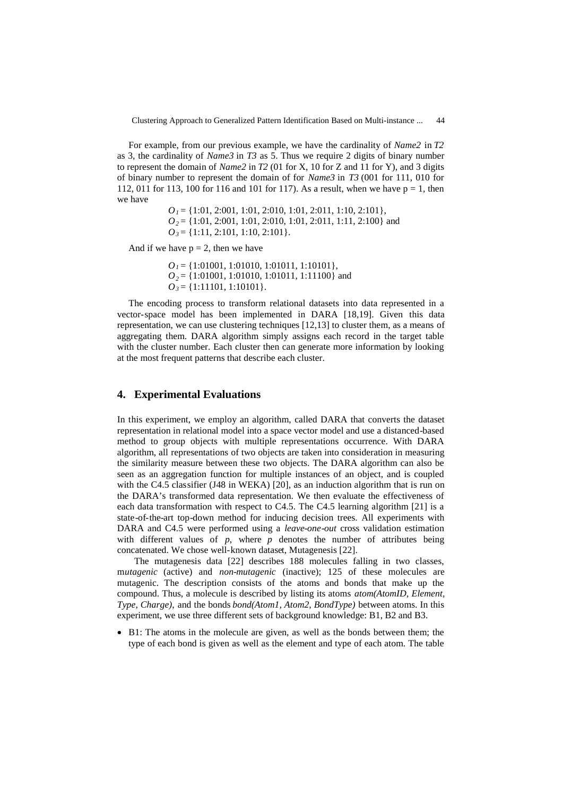Clustering Approach to Generalized Pattern Identification Based on Multi-instance ... 44

For example, from our previous example, we have the cardinality of *Name2* in *T2* as 3, the cardinality of *Name3* in *T3* as 5. Thus we require 2 digits of binary number to represent the domain of *Name2* in *T2* (01 for X, 10 for Z and 11 for Y), and 3 digits of binary number to represent the domain of for *Name3* in *T3* (001 for 111, 010 for 112, 011 for 113, 100 for 116 and 101 for 117). As a result, when we have  $p = 1$ , then we have

> *O<sup>1</sup>* = {1:01, 2:001, 1:01, 2:010, 1:01, 2:011, 1:10, 2:101}, *O<sup>2</sup>* = {1:01, 2:001, 1:01, 2:010, 1:01, 2:011, 1:11, 2:100} and *O<sup>3</sup>* = {1:11, 2:101, 1:10, 2:101}.

And if we have  $p = 2$ , then we have

*O<sup>1</sup>* = {1:01001, 1:01010, 1:01011, 1:10101}, *O<sup>2</sup>* = {1:01001, 1:01010, 1:01011, 1:11100} and *O<sup>3</sup>* = {1:11101, 1:10101}.

The encoding process to transform relational datasets into data represented in a vector-space model has been implemented in DARA [18,19]. Given this data representation, we can use clustering techniques [12,13] to cluster them, as a means of aggregating them. DARA algorithm simply assigns each record in the target table with the cluster number. Each cluster then can generate more information by looking at the most frequent patterns that describe each cluster.

# **4. Experimental Evaluations**

In this experiment, we employ an algorithm, called DARA that converts the dataset representation in relational model into a space vector model and use a distanced-based method to group objects with multiple representations occurrence. With DARA algorithm, all representations of two objects are taken into consideration in measuring the similarity measure between these two objects. The DARA algorithm can also be seen as an aggregation function for multiple instances of an object, and is coupled with the C4.5 classifier (J48 in WEKA) [20], as an induction algorithm that is run on the DARA's transformed data representation. We then evaluate the effectiveness of each data transformation with respect to C4.5. The C4.5 learning algorithm [21] is a state-of-the-art top-down method for inducing decision trees. All experiments with DARA and C4.5 were performed using a *leave-one-out* cross validation estimation with different values of  $p$ , where  $p$  denotes the number of attributes being concatenated. We chose well-known dataset, Mutagenesis [22].

The mutagenesis data [22] describes 188 molecules falling in two classes, m*utagenic* (active) and *non-mutagenic* (inactive); 125 of these molecules are mutagenic. The description consists of the atoms and bonds that make up the compound. Thus, a molecule is described by listing its atoms *atom(AtomID, Element, Type, Charge)*, and the bonds *bond(Atom1, Atom2, BondType)* between atoms. In this experiment, we use three different sets of background knowledge: B1, B2 and B3.

 B1: The atoms in the molecule are given, as well as the bonds between them; the type of each bond is given as well as the element and type of each atom. The table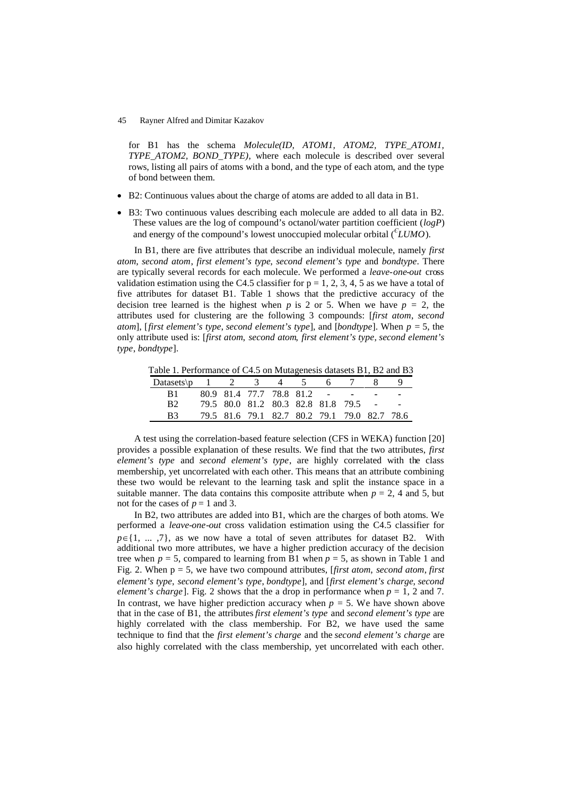for B1 has the schema *Molecule(ID, ATOM1, ATOM2, TYPE ATOM1, TYPE\_ATOM2, BOND\_TYPE)*, where each molecule is described over several rows, listing all pairs of atoms with a bond, and the type of each atom, and the type of bond between them.

- B2: Continuous values about the charge of atoms are added to all data in B1.
- B3: Two continuous values describing each molecule are added to all data in B2. These values are the log of compound's octanol/water partition coefficient (*logP*) and energy of the compound's lowest unoccupied molecular orbital (*<sup>Є</sup> LUMO*).

In B1, there are five attributes that describe an individual molecule, namely *first atom*, *second atom*, *first element's type*, *second element's type* and *bondtype*. There are typically several records for each molecule. We performed a *leave-one-out* cross validation estimation using the C4.5 classifier for  $p = 1, 2, 3, 4, 5$  as we have a total of five attributes for dataset B1. Table 1 shows that the predictive accuracy of the decision tree learned is the highest when *p* is 2 or 5. When we have  $p = 2$ , the attributes used for clustering are the following 3 compounds: [*first atom*, *second atom*], [*first element's type*, *second element's type*], and [*bondtype*]. When *p =* 5, the only attribute used is: [*first atom*, *second atom*, *first element's type*, *second element's type*, *bondtype*].

Table 1. Performance of C4.5 on Mutagenesis datasets B1, B2 and B3

| Datasets $p \t 1 \t 2 \t 3 \t 4 \t 5$ |  |  | 6 7 |                                              |  |
|---------------------------------------|--|--|-----|----------------------------------------------|--|
| - B1 -                                |  |  |     | 80.9 81.4 77.7 78.8 81.2 - - -               |  |
| B2                                    |  |  |     | 79.5 80.0 81.2 80.3 82.8 81.8 79.5 - -       |  |
| R3                                    |  |  |     | 79.5 81.6 79.1 82.7 80.2 79.1 79.0 82.7 78.6 |  |

A test using the correlation-based feature selection (CFS in WEKA) function [20] provides a possible explanation of these results. We find that the two attributes, *first element's type* and *second element's type*, are highly correlated with the class membership, yet uncorrelated with each other. This means that an attribute combining these two would be relevant to the learning task and split the instance space in a suitable manner. The data contains this composite attribute when  $p = 2$ , 4 and 5, but not for the cases of  $p = 1$  and 3.

In B2, two attributes are added into B1, which are the charges of both atoms. We performed a *leave-one-out* cross validation estimation using the C4.5 classifier for  $p \in \{1, ..., 7\}$ , as we now have a total of seven attributes for dataset B2. With additional two more attributes, we have a higher prediction accuracy of the decision tree when  $p = 5$ , compared to learning from B1 when  $p = 5$ , as shown in Table 1 and Fig. 2. When p = 5, we have two compound attributes, [*first atom*, *second atom*, *first element's type*, *second element's type*, *bondtype*], and [*first element's charge*, *second element's charge*]. Fig. 2 shows that the a drop in performance when  $p = 1$ , 2 and 7. In contrast, we have higher prediction accuracy when  $p = 5$ . We have shown above that in the case of B1, the attributes*first element's type* and *second element's type* are highly correlated with the class membership. For B2, we have used the same technique to find that the *first element's charge* and the *second element's charge* are also highly correlated with the class membership, yet uncorrelated with each other.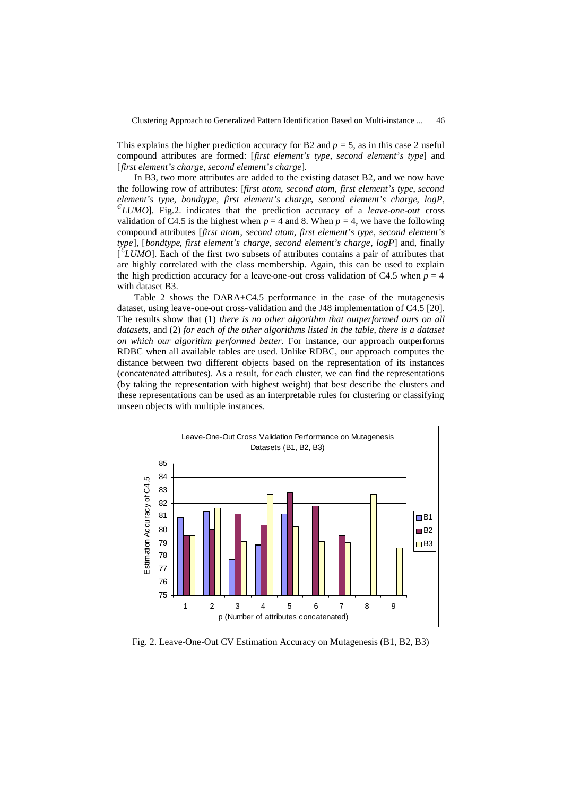This explains the higher prediction accuracy for B2 and  $p = 5$ , as in this case 2 useful compound attributes are formed: [*first element's type*, *second element's type*] and [*first element's charge*, *second element's charge*].

In B3, two more attributes are added to the existing dataset B2, and we now have the following row of attributes: [*first atom*, *second atom*, *first element's type*, *second element's type*, *bondtype*, *first element's charge*, *second element's charge*, *logP*,  $\epsilon$  *LUMO*]. Fig.2. indicates that the prediction accuracy of a *leave-one-out* cross validation of C4.5 is the highest when  $p = 4$  and 8. When  $p = 4$ , we have the following compound attributes [*first atom*, *second atom*, *first element's type*, *second element's type*], [*bondtype*, *first element's charge*, *second element's charge*, *logP*] and, finally [ *Є LUMO*]. Each of the first two subsets of attributes contains a pair of attributes that are highly correlated with the class membership. Again, this can be used to explain the high prediction accuracy for a leave-one-out cross validation of C4.5 when  $p = 4$ with dataset B3.

Table 2 shows the DARA+C4.5 performance in the case of the mutagenesis dataset, using leave-one-out cross-validation and the J48 implementation of C4.5 [20]. The results show that (1) *there is no other algorithm that outperformed ours on all datasets*, and (2) *for each of the other algorithms listed in the table, there is a dataset on which our algorithm performed better.* For instance, our approach outperforms RDBC when all available tables are used. Unlike RDBC, our approach computes the distance between two different objects based on the representation of its instances (concatenated attributes). As a result, for each cluster, we can find the representations (by taking the representation with highest weight) that best describe the clusters and these representations can be used as an interpretable rules for clustering or classifying unseen objects with multiple instances.



Fig. 2. Leave-One-Out CV Estimation Accuracy on Mutagenesis (B1, B2, B3)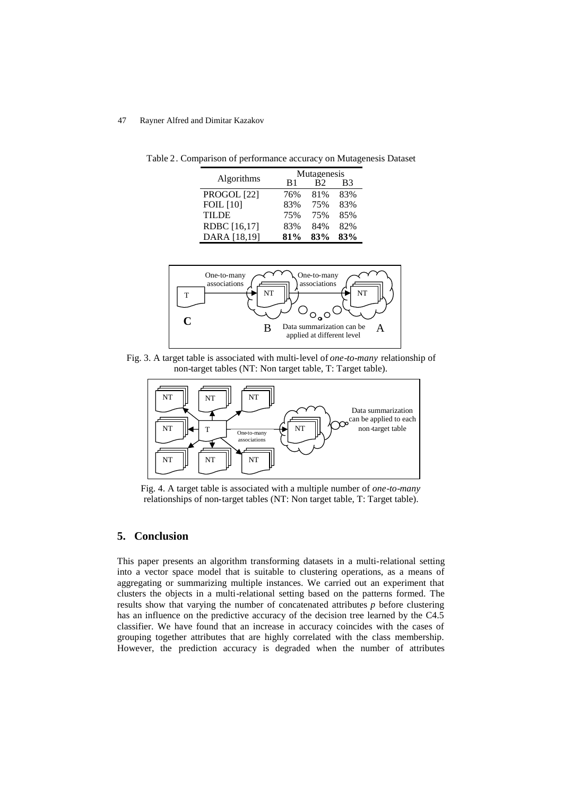Table 2. Comparison of performance accuracy on Mutagenesis Dataset

|                  | Mutagenesis |     |     |  |  |  |
|------------------|-------------|-----|-----|--|--|--|
| Algorithms       | R1          | R2  | B3  |  |  |  |
| PROGOL [22]      | 76%         | 81% | 83% |  |  |  |
| <b>FOIL</b> [10] | 83%         | 75% | 83% |  |  |  |
| <b>TILDE</b>     | 75%         | 75% | 85% |  |  |  |
| RDBC [16,17]     | 83%         | 84% | 82% |  |  |  |
| DARA [18,19]     | 81%         | 83% | 83% |  |  |  |



Fig. 3. A target table is associated with multi-level of *one-to-many* relationship of non-target tables (NT: Non target table, T: Target table).



Fig. 4. A target table is associated with a multiple number of *one-to-many* relationships of non-target tables (NT: Non target table, T: Target table).

# **5. Conclusion**

This paper presents an algorithm transforming datasets in a multi-relational setting into a vector space model that is suitable to clustering operations, as a means of aggregating or summarizing multiple instances. We carried out an experiment that clusters the objects in a multi-relational setting based on the patterns formed. The results show that varying the number of concatenated attributes *p* before clustering has an influence on the predictive accuracy of the decision tree learned by the C4.5 classifier. We have found that an increase in accuracy coincides with the cases of grouping together attributes that are highly correlated with the class membership. However, the prediction accuracy is degraded when the number of attributes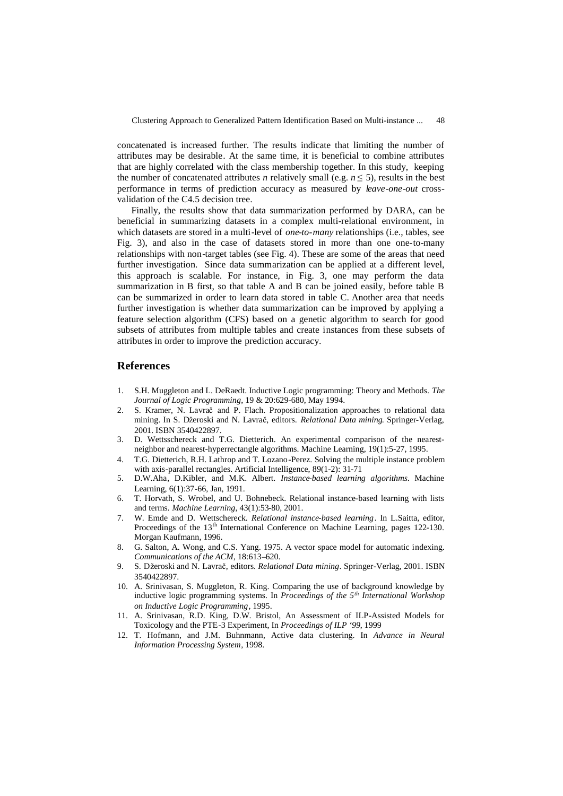concatenated is increased further. The results indicate that limiting the number of attributes may be desirable. At the same time, it is beneficial to combine attributes that are highly correlated with the class membership together. In this study, keeping the number of concatenated attributes *n* relatively small (e.g.  $n \leq 5$ ), results in the best performance in terms of prediction accuracy as measured by *leave-one-out* crossvalidation of the C4.5 decision tree.

Finally, the results show that data summarization performed by DARA, can be beneficial in summarizing datasets in a complex multi-relational environment, in which datasets are stored in a multi-level of *one-to-many* relationships (i.e., tables, see Fig. 3), and also in the case of datasets stored in more than one one-to-many relationships with non-target tables (see Fig. 4). These are some of the areas that need further investigation. Since data summarization can be applied at a different level, this approach is scalable. For instance, in Fig. 3, one may perform the data summarization in B first, so that table A and B can be joined easily, before table B can be summarized in order to learn data stored in table C. Another area that needs further investigation is whether data summarization can be improved by applying a feature selection algorithm (CFS) based on a genetic algorithm to search for good subsets of attributes from multiple tables and create instances from these subsets of attributes in order to improve the prediction accuracy.

# **References**

- 1. S.H. Muggleton and L. DeRaedt. Inductive Logic programming: Theory and Methods. *The Journal of Logic Programming*, 19 & 20:629-680, May 1994.
- 2. S. Kramer, N. Lavrač and P. Flach. Propositionalization approaches to relational data mining. In S. Džeroski and N. Lavrač, editors. *Relational Data mining*. Springer-Verlag, 2001. ISBN 3540422897.
- 3. D. Wettsschereck and T.G. Dietterich. An experimental comparison of the nearestneighbor and nearest-hyperrectangle algorithms. Machine Learning, 19(1):5-27, 1995.
- 4. T.G. Dietterich, R.H. Lathrop and T. Lozano-Perez. Solving the multiple instance problem with axis-parallel rectangles. Artificial Intelligence, 89(1-2): 31-71
- 5. D.W.Aha, D.Kibler, and M.K. Albert. *Instance-based learning algorithms*. Machine Learning, 6(1):37-66, Jan, 1991.
- 6. T. Horvath, S. Wrobel, and U. Bohnebeck. Relational instance-based learning with lists and terms. *Machine Learning*, 43(1):53-80, 2001.
- 7. W. Emde and D. Wettschereck. *Relational instance-based learning*. In L.Saitta, editor, Proceedings of the 13<sup>th</sup> International Conference on Machine Learning, pages 122-130. Morgan Kaufmann, 1996.
- 8. G. Salton, A. Wong, and C.S. Yang. 1975. A vector space model for automatic indexing. *Communications of the ACM*, 18:613–620.
- 9. S. Džeroski and N. Lavrač, editors. *Relational Data mining*. Springer-Verlag, 2001. ISBN 3540422897.
- 10. A. Srinivasan, S. Muggleton, R. King. Comparing the use of background knowledge by inductive logic programming systems. In *Proceedings of the 5th International Workshop on Inductive Logic Programming*, 1995.
- 11. A. Srinivasan, R.D. King, D.W. Bristol, An Assessment of ILP-Assisted Models for Toxicology and the PTE-3 Experiment, In *Proceedings of ILP '99*, 1999
- 12. T. Hofmann, and J.M. Buhnmann, Active data clustering. In *Advance in Neural Information Processing System*, 1998.